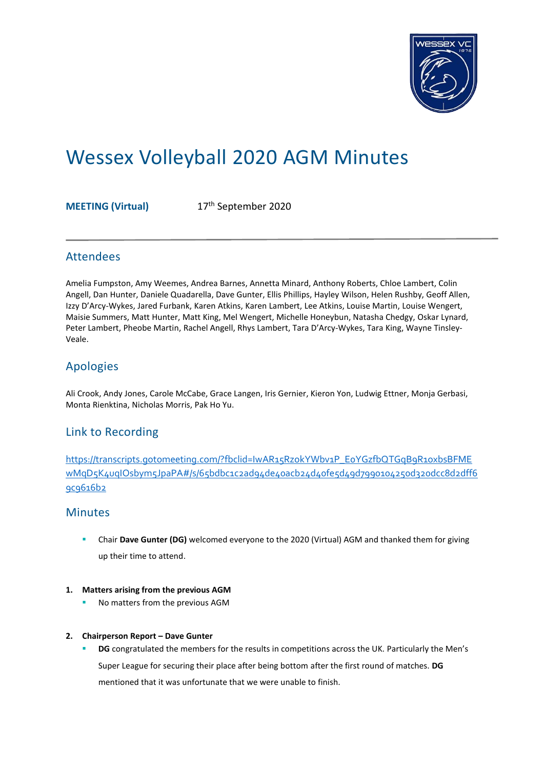

# Wessex Volleyball 2020 AGM Minutes

**MEETING (Virtual)** 17th September 2020

# Attendees

Amelia Fumpston, Amy Weemes, Andrea Barnes, Annetta Minard, Anthony Roberts, Chloe Lambert, Colin Angell, Dan Hunter, Daniele Quadarella, Dave Gunter, Ellis Phillips, Hayley Wilson, Helen Rushby, Geoff Allen, Izzy D'Arcy-Wykes, Jared Furbank, Karen Atkins, Karen Lambert, Lee Atkins, Louise Martin, Louise Wengert, Maisie Summers, Matt Hunter, Matt King, Mel Wengert, Michelle Honeybun, Natasha Chedgy, Oskar Lynard, Peter Lambert, Pheobe Martin, Rachel Angell, Rhys Lambert, Tara D'Arcy-Wykes, Tara King, Wayne Tinsley-Veale.

# Apologies

Ali Crook, Andy Jones, Carole McCabe, Grace Langen, Iris Gernier, Kieron Yon, Ludwig Ettner, Monja Gerbasi, Monta Rienktina, Nicholas Morris, Pak Ho Yu.

# Link to Recording

[https://transcripts.gotomeeting.com/?fbclid=IwAR15RzokYWbv1P\\_E0YGzfbQTGqB9R1oxbsBFME](https://transcripts.gotomeeting.com/?fbclid=IwAR15RzokYWbv1P_E0YGzfbQTGqB9R1oxbsBFMEwMqD5K4uqIOsbym5JpaPA#/s/65bdbc1c2ad94de40acb24d40fe5d49d7990104250d320dcc8d2dff69c9616b2) [wMqD5K4uqIOsbym5JpaPA#/s/65bdbc1c2ad94de40acb24d40fe5d49d7990104250d320dcc8d2dff6](https://transcripts.gotomeeting.com/?fbclid=IwAR15RzokYWbv1P_E0YGzfbQTGqB9R1oxbsBFMEwMqD5K4uqIOsbym5JpaPA#/s/65bdbc1c2ad94de40acb24d40fe5d49d7990104250d320dcc8d2dff69c9616b2) [9c9616b2](https://transcripts.gotomeeting.com/?fbclid=IwAR15RzokYWbv1P_E0YGzfbQTGqB9R1oxbsBFMEwMqD5K4uqIOsbym5JpaPA#/s/65bdbc1c2ad94de40acb24d40fe5d49d7990104250d320dcc8d2dff69c9616b2)

# Minutes

- **EXECT A Chair Dave Gunter (DG)** welcomed everyone to the 2020 (Virtual) AGM and thanked them for giving up their time to attend.
- **1. Matters arising from the previous AGM**
	- No matters from the previous AGM
- **2. Chairperson Report – Dave Gunter**
	- **DG** congratulated the members for the results in competitions across the UK. Particularly the Men's Super League for securing their place after being bottom after the first round of matches. **DG** mentioned that it was unfortunate that we were unable to finish.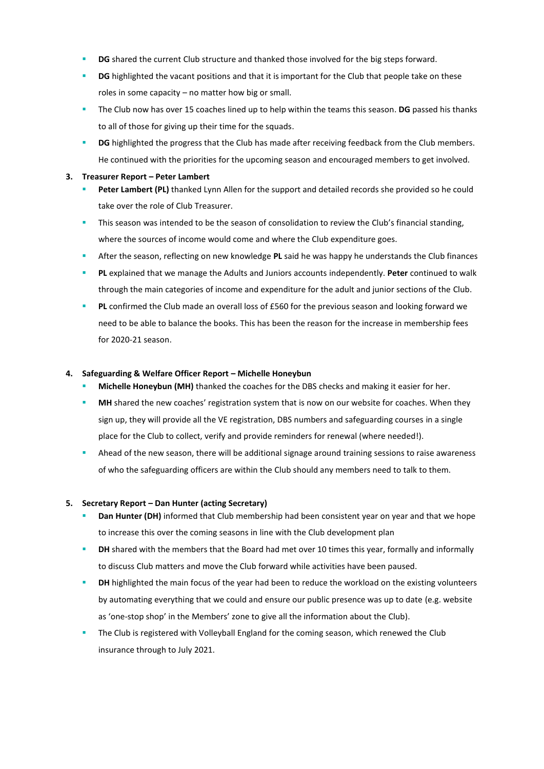- **DG** shared the current Club structure and thanked those involved for the big steps forward.
- **DG** highlighted the vacant positions and that it is important for the Club that people take on these roles in some capacity – no matter how big or small.
- The Club now has over 15 coaches lined up to help within the teams this season. **DG** passed his thanks to all of those for giving up their time for the squads.
- **DG** highlighted the progress that the Club has made after receiving feedback from the Club members. He continued with the priorities for the upcoming season and encouraged members to get involved.

#### **3. Treasurer Report – Peter Lambert**

- Peter Lambert (PL) thanked Lynn Allen for the support and detailed records she provided so he could take over the role of Club Treasurer.
- This season was intended to be the season of consolidation to review the Club's financial standing, where the sources of income would come and where the Club expenditure goes.
- After the season, reflecting on new knowledge PL said he was happy he understands the Club finances
- **PL** explained that we manage the Adults and Juniors accounts independently. **Peter** continued to walk through the main categories of income and expenditure for the adult and junior sections of the Club.
- **PL** confirmed the Club made an overall loss of £560 for the previous season and looking forward we need to be able to balance the books. This has been the reason for the increase in membership fees for 2020-21 season.

#### **4. Safeguarding & Welfare Officer Report – Michelle Honeybun**

- **Michelle Honeybun (MH)** thanked the coaches for the DBS checks and making it easier for her.
- MH shared the new coaches' registration system that is now on our website for coaches. When they sign up, they will provide all the VE registration, DBS numbers and safeguarding courses in a single place for the Club to collect, verify and provide reminders for renewal (where needed!).
- Ahead of the new season, there will be additional signage around training sessions to raise awareness of who the safeguarding officers are within the Club should any members need to talk to them.

#### **5. Secretary Report – Dan Hunter (acting Secretary)**

- Dan Hunter (DH) informed that Club membership had been consistent year on year and that we hope to increase this over the coming seasons in line with the Club development plan
- **DH** shared with the members that the Board had met over 10 times this year, formally and informally to discuss Club matters and move the Club forward while activities have been paused.
- **DH** highlighted the main focus of the year had been to reduce the workload on the existing volunteers by automating everything that we could and ensure our public presence was up to date (e.g. website as 'one-stop shop' in the Members' zone to give all the information about the Club).
- The Club is registered with Volleyball England for the coming season, which renewed the Club insurance through to July 2021.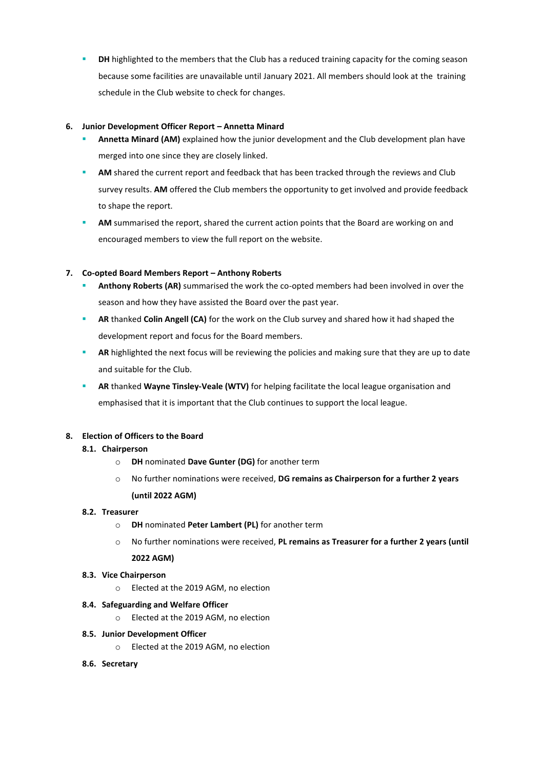**DH** highlighted to the members that the Club has a reduced training capacity for the coming season because some facilities are unavailable until January 2021. All members should look at the training schedule in the Club website to check for changes.

## **6. Junior Development Officer Report – Annetta Minard**

- Annetta Minard (AM) explained how the junior development and the Club development plan have merged into one since they are closely linked.
- **AM** shared the current report and feedback that has been tracked through the reviews and Club survey results. **AM** offered the Club members the opportunity to get involved and provide feedback to shape the report.
- AM summarised the report, shared the current action points that the Board are working on and encouraged members to view the full report on the website.

## **7. Co-opted Board Members Report – Anthony Roberts**

- Anthony Roberts (AR) summarised the work the co-opted members had been involved in over the season and how they have assisted the Board over the past year.
- **RR** thanked **Colin Angell (CA)** for the work on the Club survey and shared how it had shaped the development report and focus for the Board members.
- **AR** highlighted the next focus will be reviewing the policies and making sure that they are up to date and suitable for the Club.
- **RR** thanked Wayne Tinsley-Veale (WTV) for helping facilitate the local league organisation and emphasised that it is important that the Club continues to support the local league.

#### **8. Election of Officers to the Board**

#### **8.1. Chairperson**

- o **DH** nominated **Dave Gunter (DG)** for another term
- o No further nominations were received, **DG remains as Chairperson for a further 2 years (until 2022 AGM)**

#### **8.2. Treasurer**

- o **DH** nominated **Peter Lambert (PL)** for another term
- o No further nominations were received, **PL remains as Treasurer for a further 2 years (until 2022 AGM)**

#### **8.3. Vice Chairperson**

o Elected at the 2019 AGM, no election

#### **8.4. Safeguarding and Welfare Officer**

- o Elected at the 2019 AGM, no election
- **8.5. Junior Development Officer**
	- o Elected at the 2019 AGM, no election
- **8.6. Secretary**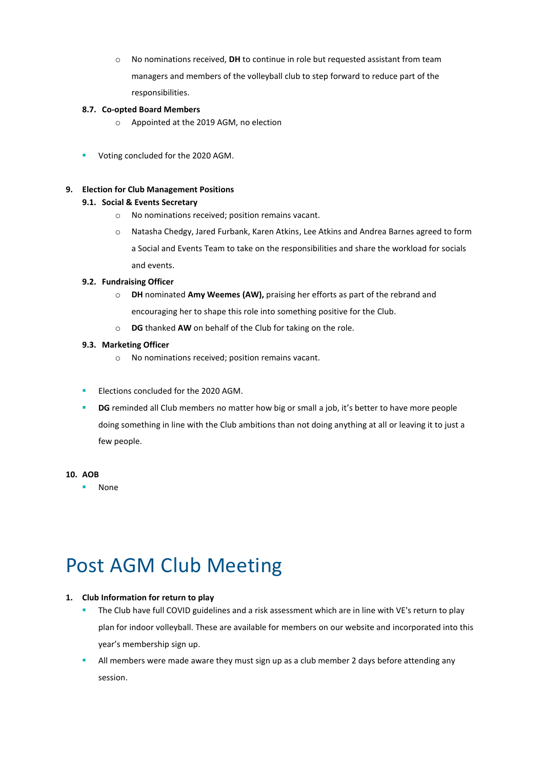o No nominations received, **DH** to continue in role but requested assistant from team managers and members of the volleyball club to step forward to reduce part of the responsibilities.

## **8.7. Co-opted Board Members**

- o Appointed at the 2019 AGM, no election
- Voting concluded for the 2020 AGM.

#### **9. Election for Club Management Positions**

## **9.1. Social & Events Secretary**

- o No nominations received; position remains vacant.
- o Natasha Chedgy, Jared Furbank, Karen Atkins, Lee Atkins and Andrea Barnes agreed to form a Social and Events Team to take on the responsibilities and share the workload for socials and events.

#### **9.2. Fundraising Officer**

- o **DH** nominated **Amy Weemes (AW),** praising her efforts as part of the rebrand and encouraging her to shape this role into something positive for the Club.
- o **DG** thanked **AW** on behalf of the Club for taking on the role.

## **9.3. Marketing Officer**

- o No nominations received; position remains vacant.
- **Elections concluded for the 2020 AGM.**
- **DG** reminded all Club members no matter how big or small a job, it's better to have more people doing something in line with the Club ambitions than not doing anything at all or leaving it to just a few people.

#### **10. AOB**

▪ None

# Post AGM Club Meeting

# **1. Club Information for return to play**

- **•** The Club have full COVID guidelines and a risk assessment which are in line with VE's return to play plan for indoor volleyball. These are available for members on our website and incorporated into this year's membership sign up.
- **E** All members were made aware they must sign up as a club member 2 days before attending any session.